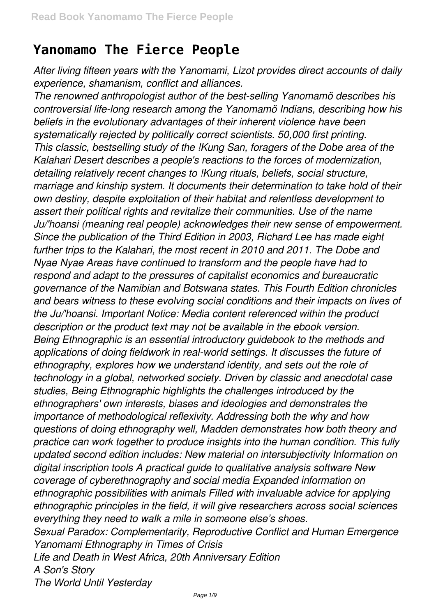## **Yanomamo The Fierce People**

*After living fifteen years with the Yanomami, Lizot provides direct accounts of daily experience, shamanism, conflict and alliances.*

*The renowned anthropologist author of the best-selling Yanomamö describes his controversial life-long research among the Yanomamö Indians, describing how his beliefs in the evolutionary advantages of their inherent violence have been systematically rejected by politically correct scientists. 50,000 first printing. This classic, bestselling study of the !Kung San, foragers of the Dobe area of the Kalahari Desert describes a people's reactions to the forces of modernization, detailing relatively recent changes to !Kung rituals, beliefs, social structure, marriage and kinship system. It documents their determination to take hold of their own destiny, despite exploitation of their habitat and relentless development to assert their political rights and revitalize their communities. Use of the name Ju/'hoansi (meaning real people) acknowledges their new sense of empowerment. Since the publication of the Third Edition in 2003, Richard Lee has made eight further trips to the Kalahari, the most recent in 2010 and 2011. The Dobe and Nyae Nyae Areas have continued to transform and the people have had to respond and adapt to the pressures of capitalist economics and bureaucratic governance of the Namibian and Botswana states. This Fourth Edition chronicles and bears witness to these evolving social conditions and their impacts on lives of the Ju/'hoansi. Important Notice: Media content referenced within the product description or the product text may not be available in the ebook version. Being Ethnographic is an essential introductory guidebook to the methods and applications of doing fieldwork in real-world settings. It discusses the future of ethnography, explores how we understand identity, and sets out the role of technology in a global, networked society. Driven by classic and anecdotal case studies, Being Ethnographic highlights the challenges introduced by the ethnographers' own interests, biases and ideologies and demonstrates the importance of methodological reflexivity. Addressing both the why and how questions of doing ethnography well, Madden demonstrates how both theory and practice can work together to produce insights into the human condition. This fully updated second edition includes: New material on intersubjectivity Information on digital inscription tools A practical guide to qualitative analysis software New coverage of cyberethnography and social media Expanded information on ethnographic possibilities with animals Filled with invaluable advice for applying ethnographic principles in the field, it will give researchers across social sciences everything they need to walk a mile in someone else's shoes. Sexual Paradox: Complementarity, Reproductive Conflict and Human Emergence Yanomami Ethnography in Times of Crisis Life and Death in West Africa, 20th Anniversary Edition*

*A Son's Story*

*The World Until Yesterday*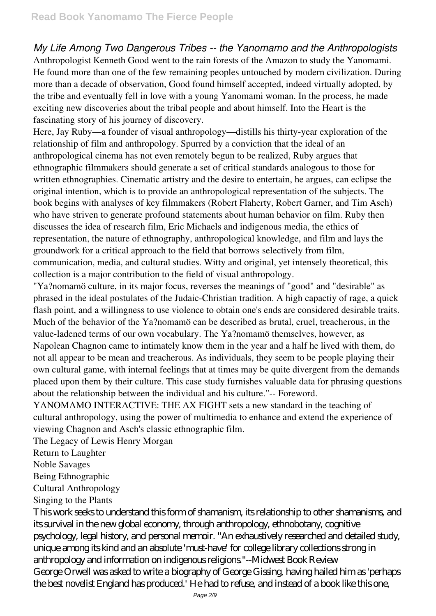*My Life Among Two Dangerous Tribes -- the Yanomamo and the Anthropologists* Anthropologist Kenneth Good went to the rain forests of the Amazon to study the Yanomami. He found more than one of the few remaining peoples untouched by modern civilization. During more than a decade of observation, Good found himself accepted, indeed virtually adopted, by the tribe and eventually fell in love with a young Yanomami woman. In the process, he made exciting new discoveries about the tribal people and about himself. Into the Heart is the fascinating story of his journey of discovery.

Here, Jay Ruby—a founder of visual anthropology—distills his thirty-year exploration of the relationship of film and anthropology. Spurred by a conviction that the ideal of an anthropological cinema has not even remotely begun to be realized, Ruby argues that ethnographic filmmakers should generate a set of critical standards analogous to those for written ethnographies. Cinematic artistry and the desire to entertain, he argues, can eclipse the original intention, which is to provide an anthropological representation of the subjects. The book begins with analyses of key filmmakers (Robert Flaherty, Robert Garner, and Tim Asch) who have striven to generate profound statements about human behavior on film. Ruby then discusses the idea of research film, Eric Michaels and indigenous media, the ethics of representation, the nature of ethnography, anthropological knowledge, and film and lays the groundwork for a critical approach to the field that borrows selectively from film, communication, media, and cultural studies. Witty and original, yet intensely theoretical, this collection is a major contribution to the field of visual anthropology.

"Ya?nomamö culture, in its major focus, reverses the meanings of "good" and "desirable" as phrased in the ideal postulates of the Judaic-Christian tradition. A high capactiy of rage, a quick flash point, and a willingness to use violence to obtain one's ends are considered desirable traits. Much of the behavior of the Ya?nomamö can be described as brutal, cruel, treacherous, in the value-ladened terms of our own vocabulary. The Ya?nomamö themselves, however, as Napolean Chagnon came to intimately know them in the year and a half he lived with them, do not all appear to be mean and treacherous. As individuals, they seem to be people playing their own cultural game, with internal feelings that at times may be quite divergent from the demands placed upon them by their culture. This case study furnishes valuable data for phrasing questions about the relationship between the individual and his culture."-- Foreword.

YANOMAMO INTERACTIVE: THE AX FIGHT sets a new standard in the teaching of cultural anthropology, using the power of multimedia to enhance and extend the experience of viewing Chagnon and Asch's classic ethnographic film.

The Legacy of Lewis Henry Morgan

Return to Laughter

Noble Savages

Being Ethnographic

Cultural Anthropology

Singing to the Plants

This work seeks to understand this form of shamanism, its relationship to other shamanisms, and its survival in the new global economy, through anthropology, ethnobotany, cognitive psychology, legal history, and personal memoir. "An exhaustively researched and detailed study, unique among its kind and an absolute 'must-have' for college library collections strong in anthropology and information on indigenous religions."--Midwest Book Review George Orwell was asked to write a biography of George Gissing, having hailed him as 'perhaps the best novelist England has produced.' He had to refuse, and instead of a book like this one,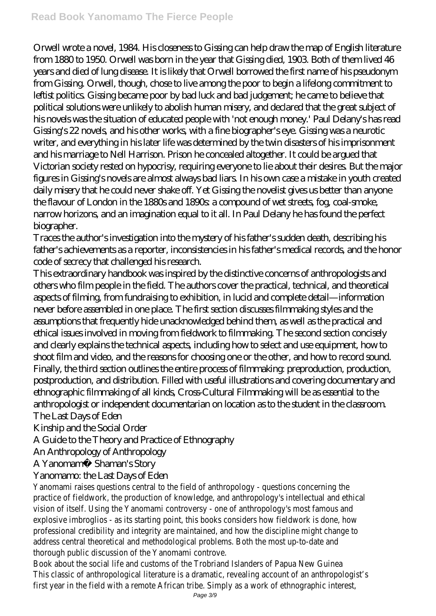Orwell wrote a novel, 1984. His closeness to Gissing can help draw the map of English literature from 1880 to 1950. Orwell was born in the year that Gissing died, 1903. Both of them lived 46 years and died of lung disease. It is likely that Orwell borrowed the first name of his pseudonym from Gissing. Orwell, though, chose to live among the poor to begin a lifelong commitment to leftist politics. Gissing became poor by bad luck and bad judgement; he came to believe that political solutions were unlikely to abolish human misery, and declared that the great subject of his novels was the situation of educated people with 'not enough money.' Paul Delany's has read Gissing's 22 novels, and his other works, with a fine biographer's eye. Gissing was a neurotic writer, and everything in his later life was determined by the twin disasters of his imprisonment and his marriage to Nell Harrison. Prison he concealed altogether. It could be argued that Victorian society rested on hypocrisy, requiring everyone to lie about their desires. But the major figures in Gissing's novels are almost always bad liars. In his own case a mistake in youth created daily misery that he could never shake off. Yet Gissing the novelist gives us better than anyone the flavour of London in the 1880s and 1890s: a compound of wet streets, fog, coal-smoke, narrow horizons, and an imagination equal to it all. In Paul Delany he has found the perfect biographer.

Traces the author's investigation into the mystery of his father's sudden death, describing his father's achievements as a reporter, inconsistencies in his father's medical records, and the honor code of secrecy that challenged his research.

This extraordinary handbook was inspired by the distinctive concerns of anthropologists and others who film people in the field. The authors cover the practical, technical, and theoretical aspects of filming, from fundraising to exhibition, in lucid and complete detail—information never before assembled in one place. The first section discusses filmmaking styles and the assumptions that frequently hide unacknowledged behind them, as well as the practical and ethical issues involved in moving from fieldwork to filmmaking. The second section concisely and clearly explains the technical aspects, including how to select and use equipment, how to shoot film and video, and the reasons for choosing one or the other, and how to record sound. Finally, the third section outlines the entire process of filmmaking: preproduction, production, postproduction, and distribution. Filled with useful illustrations and covering documentary and ethnographic filmmaking of all kinds, Cross-Cultural Filmmaking will be as essential to the anthropologist or independent documentarian on location as to the student in the classroom. The Last Days of Eden

Kinship and the Social Order

A Guide to the Theory and Practice of Ethnography

An Anthropology of Anthropology

A Yanomamö Shaman's Story

## Yanomamo: the Last Days of Eden

Yanomami raises questions central to the field of anthropology - questions concerning the practice of fieldwork, the production of knowledge, and anthropology's intellectual and ethical vision of itself. Using the Yanomami controversy - one of anthropology's most famous and explosive imbroglios - as its starting point, this books considers how fieldwork is done, how professional credibility and integrity are maintained, and how the discipline might change to address central theoretical and methodological problems. Both the most up-to-date and thorough public discussion of the Yanomami controve.

Book about the social life and customs of the Trobriand Islanders of Papua New Guinea This classic of anthropological literature is a dramatic, revealing account of an anthropologist's first year in the field with a remote African tribe. Simply as a work of ethnographic interest,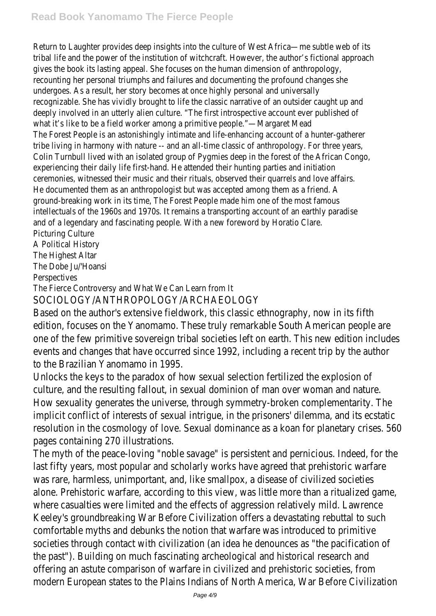Return to Laughter provides deep insights into the culture of West Africa—me subtle web of i tribal life and the power of the institution of witchcraft. However, the author's fictional appro gives the book its lasting appeal. She focuses on the human dimension of anthropology, recounting her personal triumphs and failures and documenting the profound changes she undergoes. As a result, her story becomes at once highly personal and universally recognizable. She has vividly brought to life the classic narrative of an outsider caught up and deeply involved in an utterly alien culture. "The first introspective account ever published of what it's like to be a field worker among a primitive people."—Margaret Mead The Forest People is an astonishingly intimate and life-enhancing account of a hunter-gatherer tribe living in harmony with nature -- and an all-time classic of anthropology. For three years, Colin Turnbull lived with an isolated group of Pygmies deep in the forest of the African Congo, experiencing their daily life first-hand. He attended their hunting parties and initiation ceremonies, witnessed their music and their rituals, observed their quarrels and love affairs. He documented them as an anthropologist but was accepted among them as a friend. A ground-breaking work in its time, The Forest People made him one of the most famous intellectuals of the 1960s and 1970s. It remains a transporting account of an earthly paradise and of a legendary and fascinating people. With a new foreword by Horatio Clare. Picturing Culture

A Political History

The Highest Altar

The Dobe Ju/'Hoansi

**Perspectives** 

The Fierce Controversy and What We Can Learn from It

SOCIOLOGY/ANTHROPOLOGY/ARCHAEOLOGY

Based on the author's extensive fieldwork, this classic ethnography, now in its fit edition, focuses on the Yanomamo. These truly remarkable South American people one of the few primitive sovereign tribal societies left on earth. This new edition events and changes that have occurred since 1992, including a recent trip by the to the Brazilian Yanomamo in 1995.

Unlocks the keys to the paradox of how sexual selection fertilized the explosion of culture, and the resulting fallout, in sexual dominion of man over woman and nature. How sexuality generates the universe, through symmetry-broken complementarit implicit conflict of interests of sexual intrique, in the prisoners' dilemma, and its  $\epsilon$ resolution in the cosmology of love. Sexual dominance as a koan for planetary cripages containing 270 illustrations.

The myth of the peace-loving "noble savage" is persistent and pernicious. Indeed, last fifty years, most popular and scholarly works have agreed that prehistoric w was rare, harmless, unimportant, and, like smallpox, a disease of civilized societies alone. Prehistoric warfare, according to this view, was little more than a ritualize where casualties were limited and the effects of aggression relatively mild. Lawre Keeley's groundbreaking War Before Civilization offers a devastating rebuttal to s comfortable myths and debunks the notion that warfare was introduced to primit societies through contact with civilization (an idea he denounces as "the pacification") the past"). Building on much fascinating archeological and historical research and offering an astute comparison of warfare in civilized and prehistoric societies, from modern European states to the Plains Indians of North America, War Before Civiliz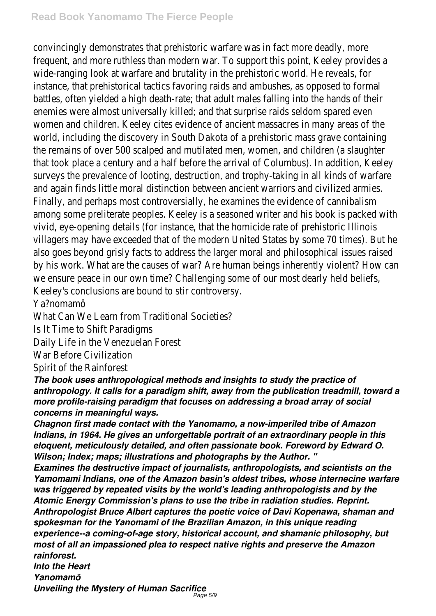convincingly demonstrates that prehistoric warfare was in fact more deadly, more frequent, and more ruthless than modern war. To support this point, Keeley provi wide-ranging look at warfare and brutality in the prehistoric world. He reveals, for instance, that prehistorical tactics favoring raids and ambushes, as opposed to for battles, often yielded a high death-rate; that adult males falling into the hands of enemies were almost universally killed; and that surprise raids seldom spared eve women and children. Keeley cites evidence of ancient massacres in many areas of world, including the discovery in South Dakota of a prehistoric mass grave contai the remains of over 500 scalped and mutilated men, women, and children (a slaughter that took place a century and a half before the arrival of Columbus). In addition, surveys the prevalence of looting, destruction, and trophy-taking in all kinds of w and again finds little moral distinction between ancient warriors and civilized arm Finally, and perhaps most controversially, he examines the evidence of cannibalism among some preliterate peoples. Keeley is a seasoned writer and his book is pack vivid, eye-opening details (for instance, that the homicide rate of prehistoric Illino villagers may have exceeded that of the modern United States by some 70 times also goes beyond grisly facts to address the larger moral and philosophical issues by his work. What are the causes of war? Are human beings inherently violent? H we ensure peace in our own time? Challenging some of our most dearly held belief Keeley's conclusions are bound to stir controversy.

Ya?nomamö

What Can We Learn from Traditional Societies?

Is It Time to Shift Paradigms

Daily Life in the Venezuelan Forest

War Before Civilization

Spirit of the Rainforest

*The book uses anthropological methods and insights to study the practice of anthropology. It calls for a paradigm shift, away from the publication treadmill, toward a more profile-raising paradigm that focuses on addressing a broad array of social concerns in meaningful ways.*

*Chagnon first made contact with the Yanomamo, a now-imperiled tribe of Amazon Indians, in 1964. He gives an unforgettable portrait of an extraordinary people in this eloquent, meticulously detailed, and often passionate book. Foreword by Edward O. Wilson; Index; maps; illustrations and photographs by the Author. "*

*Examines the destructive impact of journalists, anthropologists, and scientists on the Yamomami Indians, one of the Amazon basin's oldest tribes, whose internecine warfare was triggered by repeated visits by the world's leading anthropologists and by the Atomic Energy Commission's plans to use the tribe in radiation studies. Reprint. Anthropologist Bruce Albert captures the poetic voice of Davi Kopenawa, shaman and spokesman for the Yanomami of the Brazilian Amazon, in this unique reading experience--a coming-of-age story, historical account, and shamanic philosophy, but most of all an impassioned plea to respect native rights and preserve the Amazon rainforest.*

*Into the Heart*

*Yanomamö*

*Unveiling the Mystery of Human Sacrifice* Page 5/9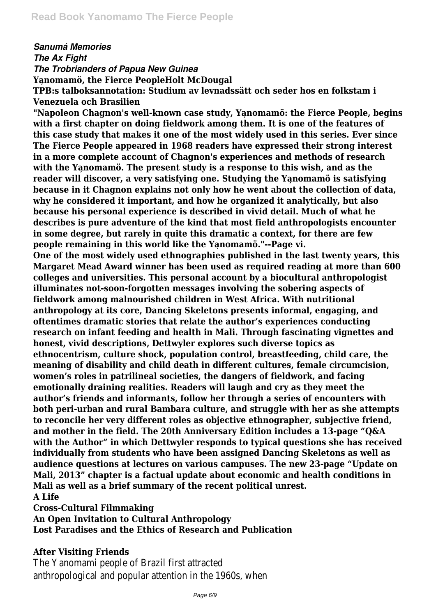*Sanumá Memories*

*The Ax Fight The Trobrianders of Papua New Guinea*

Yanomamö, the Fierce PeopleHolt McDougal

**TPB:s talboksannotation: Studium av levnadssätt och seder hos en folkstam i Venezuela och Brasilien**

**"Napoleon Chagnon's well-known case study, Ya̦nomamö: the Fierce People, begins with a first chapter on doing fieldwork among them. It is one of the features of this case study that makes it one of the most widely used in this series. Ever since The Fierce People appeared in 1968 readers have expressed their strong interest in a more complete account of Chagnon's experiences and methods of research** with the Yanomamö. The present study is a response to this wish, and as the reader will discover, a very satisfying one. Studying the Yanomamö is satisfying **because in it Chagnon explains not only how he went about the collection of data, why he considered it important, and how he organized it analytically, but also because his personal experience is described in vivid detail. Much of what he describes is pure adventure of the kind that most field anthropologists encounter in some degree, but rarely in quite this dramatic a context, for there are few people remaining in this world like the Ya̦nomamö."--Page vi.**

**One of the most widely used ethnographies published in the last twenty years, this Margaret Mead Award winner has been used as required reading at more than 600 colleges and universities. This personal account by a biocultural anthropologist illuminates not-soon-forgotten messages involving the sobering aspects of fieldwork among malnourished children in West Africa. With nutritional anthropology at its core, Dancing Skeletons presents informal, engaging, and oftentimes dramatic stories that relate the author's experiences conducting research on infant feeding and health in Mali. Through fascinating vignettes and honest, vivid descriptions, Dettwyler explores such diverse topics as ethnocentrism, culture shock, population control, breastfeeding, child care, the meaning of disability and child death in different cultures, female circumcision, women's roles in patrilineal societies, the dangers of fieldwork, and facing emotionally draining realities. Readers will laugh and cry as they meet the author's friends and informants, follow her through a series of encounters with both peri-urban and rural Bambara culture, and struggle with her as she attempts to reconcile her very different roles as objective ethnographer, subjective friend, and mother in the field. The 20th Anniversary Edition includes a 13-page "Q&A with the Author" in which Dettwyler responds to typical questions she has received individually from students who have been assigned Dancing Skeletons as well as audience questions at lectures on various campuses. The new 23-page "Update on Mali, 2013" chapter is a factual update about economic and health conditions in Mali as well as a brief summary of the recent political unrest. A Life**

**Cross-Cultural Filmmaking**

**An Open Invitation to Cultural Anthropology**

**Lost Paradises and the Ethics of Research and Publication**

**After Visiting Friends**

The Yanomami people of Brazil first attracted anthropological and popular attention in the 1960s, when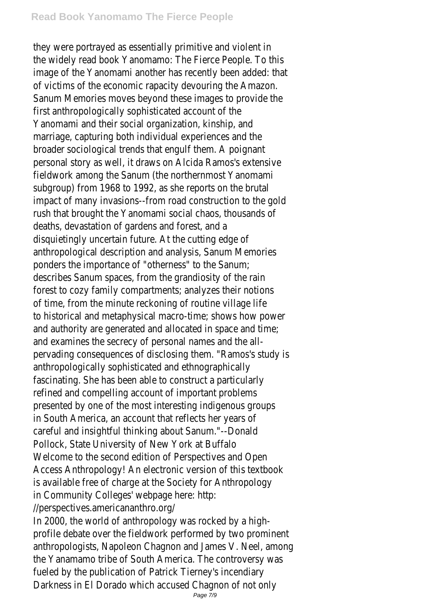## **Read Book Yanomamo The Fierce People**

they were portrayed as essentially primitive and violent in the widely read book Yanomamo: The Fierce People. To this image of the Yanomami another has recently been added: that of victims of the economic rapacity devouring the Amazon. Sanum Memories moves beyond these images to provide the first anthropologically sophisticated account of the Yanomami and their social organization, kinship, and marriage, capturing both individual experiences and the broader sociological trends that engulf them. A poignant personal story as well, it draws on Alcida Ramos's extensive fieldwork among the Sanum (the northernmost Yanomami subgroup) from 1968 to 1992, as she reports on the brutal impact of many invasions--from road construction to the gold rush that brought the Yanomami social chaos, thousands of deaths, devastation of gardens and forest, and a disquietingly uncertain future. At the cutting edge of anthropological description and analysis, Sanum Memories ponders the importance of "otherness" to the Sanum; describes Sanum spaces, from the grandiosity of the rain forest to cozy family compartments; analyzes their notions of time, from the minute reckoning of routine village life to historical and metaphysical macro-time; shows how power and authority are generated and allocated in space and time; and examines the secrecy of personal names and the allpervading consequences of disclosing them. "Ramos's study is anthropologically sophisticated and ethnographically fascinating. She has been able to construct a particularly refined and compelling account of important problems presented by one of the most interesting indigenous groups in South America, an account that reflects her years of careful and insightful thinking about Sanum."--Donald Pollock, State University of New York at Buffalo Welcome to the second edition of Perspectives and Open Access Anthropology! An electronic version of this textbook is available free of charge at the Society for Anthropology in Community Colleges' webpage here: http: //perspectives.americananthro.org/

In 2000, the world of anthropology was rocked by a highprofile debate over the fieldwork performed by two prominent anthropologists, Napoleon Chagnon and James V. Neel, among the Yanamamo tribe of South America. The controversy was fueled by the publication of Patrick Tierney's incendiary Darkness in El Dorado which accused Chagnon of not only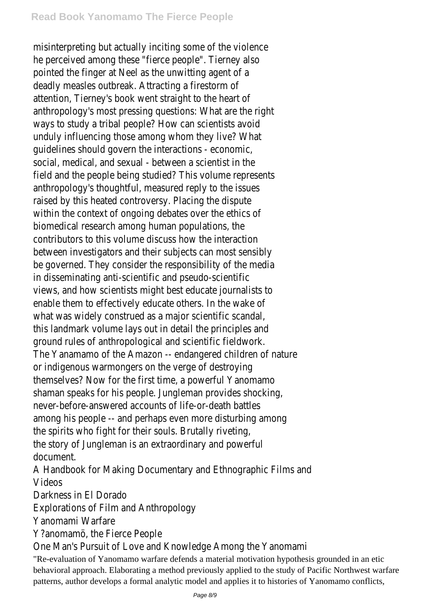misinterpreting but actually inciting some of the violence he perceived among these "fierce people". Tierney also pointed the finger at Neel as the unwitting agent of a deadly measles outbreak. Attracting a firestorm of attention, Tierney's book went straight to the heart of anthropology's most pressing questions: What are the right ways to study a tribal people? How can scientists avoid unduly influencing those among whom they live? What guidelines should govern the interactions - economic, social, medical, and sexual - between a scientist in the field and the people being studied? This volume represents anthropology's thoughtful, measured reply to the issues raised by this heated controversy. Placing the dispute within the context of ongoing debates over the ethics of biomedical research among human populations, the contributors to this volume discuss how the interaction between investigators and their subjects can most sensibly be governed. They consider the responsibility of the media in disseminating anti-scientific and pseudo-scientific views, and how scientists might best educate journalists to enable them to effectively educate others. In the wake of what was widely construed as a major scientific scandal, this landmark volume lays out in detail the principles and ground rules of anthropological and scientific fieldwork. The Yanamamo of the Amazon -- endangered children of nature or indigenous warmongers on the verge of destroying themselves? Now for the first time, a powerful Yanomamo shaman speaks for his people. Jungleman provides shocking, never-before-answered accounts of life-or-death battles among his people -- and perhaps even more disturbing among the spirits who fight for their souls. Brutally riveting, the story of Jungleman is an extraordinary and powerful document.

A Handbook for Making Documentary and Ethnographic Films and Videos

Darkness in El Dorado

Explorations of Film and Anthropology

Yanomami Warfare

Y?anomamö, the Fierce People

One Man's Pursuit of Love and Knowledge Among the Yanomami "Re-evaluation of Yanomamo warfare defends a material motivation hypothesis grounded in an etic behavioral approach. Elaborating a method previously applied to the study of Pacific Northwest warfare patterns, author develops a formal analytic model and applies it to histories of Yanomamo conflicts,